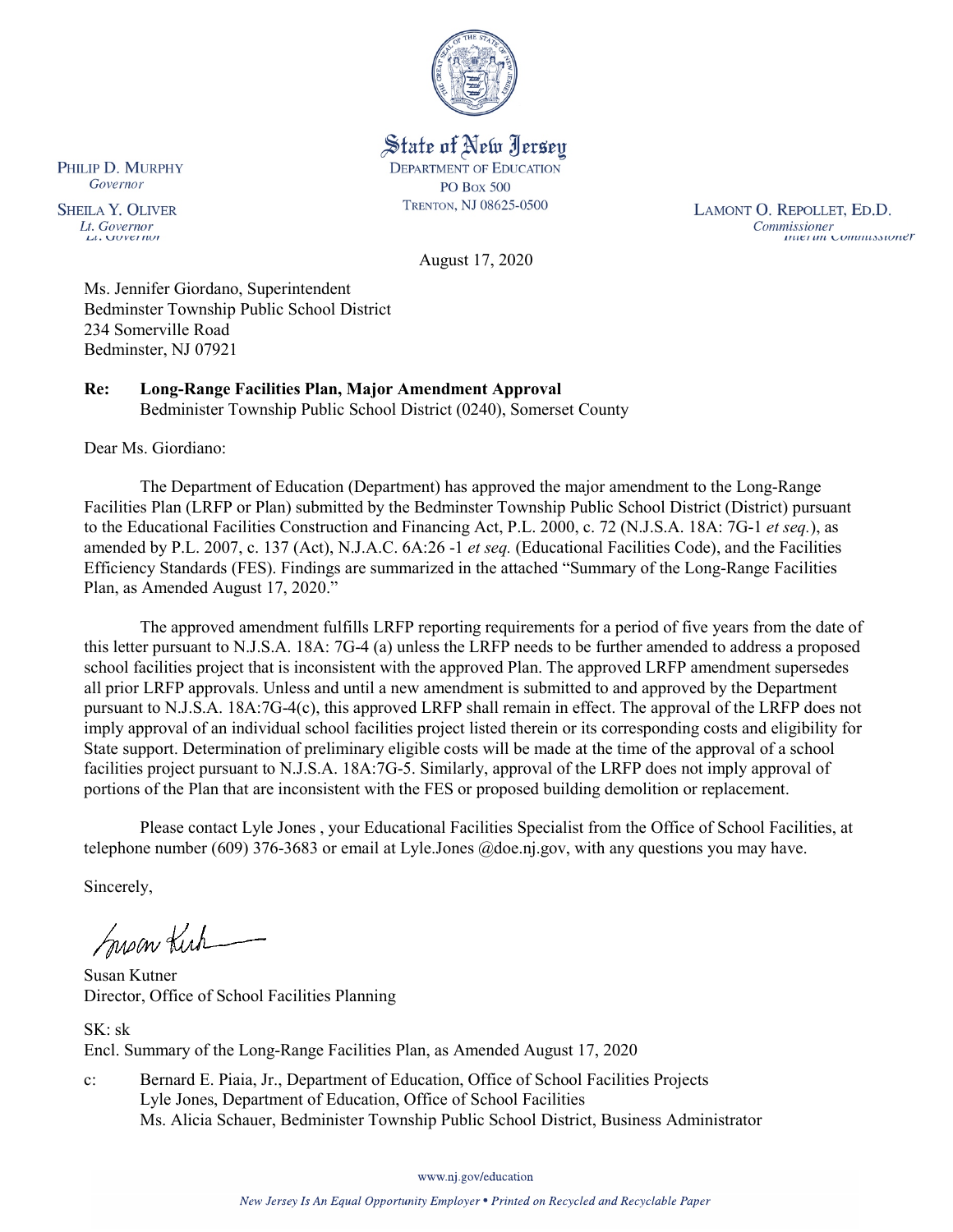

State of New Jersey **DEPARTMENT OF EDUCATION PO Box 500** TRENTON, NJ 08625-0500

LAMONT O. REPOLLET, ED.D. Commissioner<br>Thuer un Commussioner

August 17, 2020

Ms. Jennifer Giordano, Superintendent Bedminster Township Public School District 234 Somerville Road Bedminster, NJ 07921

**Re: Long-Range Facilities Plan, Major Amendment Approval**  Bedminister Township Public School District (0240), Somerset County

Dear Ms. Giordiano:

The Department of Education (Department) has approved the major amendment to the Long-Range Facilities Plan (LRFP or Plan) submitted by the Bedminster Township Public School District (District) pursuant to the Educational Facilities Construction and Financing Act, P.L. 2000, c. 72 (N.J.S.A. 18A: 7G-1 *et seq.*), as amended by P.L. 2007, c. 137 (Act), N.J.A.C. 6A:26 -1 *et seq.* (Educational Facilities Code), and the Facilities Efficiency Standards (FES). Findings are summarized in the attached "Summary of the Long-Range Facilities Plan, as Amended August 17, 2020."

The approved amendment fulfills LRFP reporting requirements for a period of five years from the date of this letter pursuant to N.J.S.A. 18A: 7G-4 (a) unless the LRFP needs to be further amended to address a proposed school facilities project that is inconsistent with the approved Plan. The approved LRFP amendment supersedes all prior LRFP approvals. Unless and until a new amendment is submitted to and approved by the Department pursuant to N.J.S.A. 18A:7G-4(c), this approved LRFP shall remain in effect. The approval of the LRFP does not imply approval of an individual school facilities project listed therein or its corresponding costs and eligibility for State support. Determination of preliminary eligible costs will be made at the time of the approval of a school facilities project pursuant to N.J.S.A. 18A:7G-5. Similarly, approval of the LRFP does not imply approval of portions of the Plan that are inconsistent with the FES or proposed building demolition or replacement.

Please contact Lyle Jones , your Educational Facilities Specialist from the Office of School Facilities, at telephone number (609) 376-3683 or email at Lyle.Jones @doe.nj.gov, with any questions you may have.

Sincerely,

Susan Kich

Susan Kutner Director, Office of School Facilities Planning

SK: sk Encl. Summary of the Long-Range Facilities Plan, as Amended August 17, 2020

c: Bernard E. Piaia, Jr., Department of Education, Office of School Facilities Projects Lyle Jones, Department of Education, Office of School Facilities Ms. Alicia Schauer, Bedminister Township Public School District, Business Administrator

www.nj.gov/education

PHILIP D. MURPHY Governor

**SHEILA Y. OLIVER** Lt. Governor LL VIOVETIAN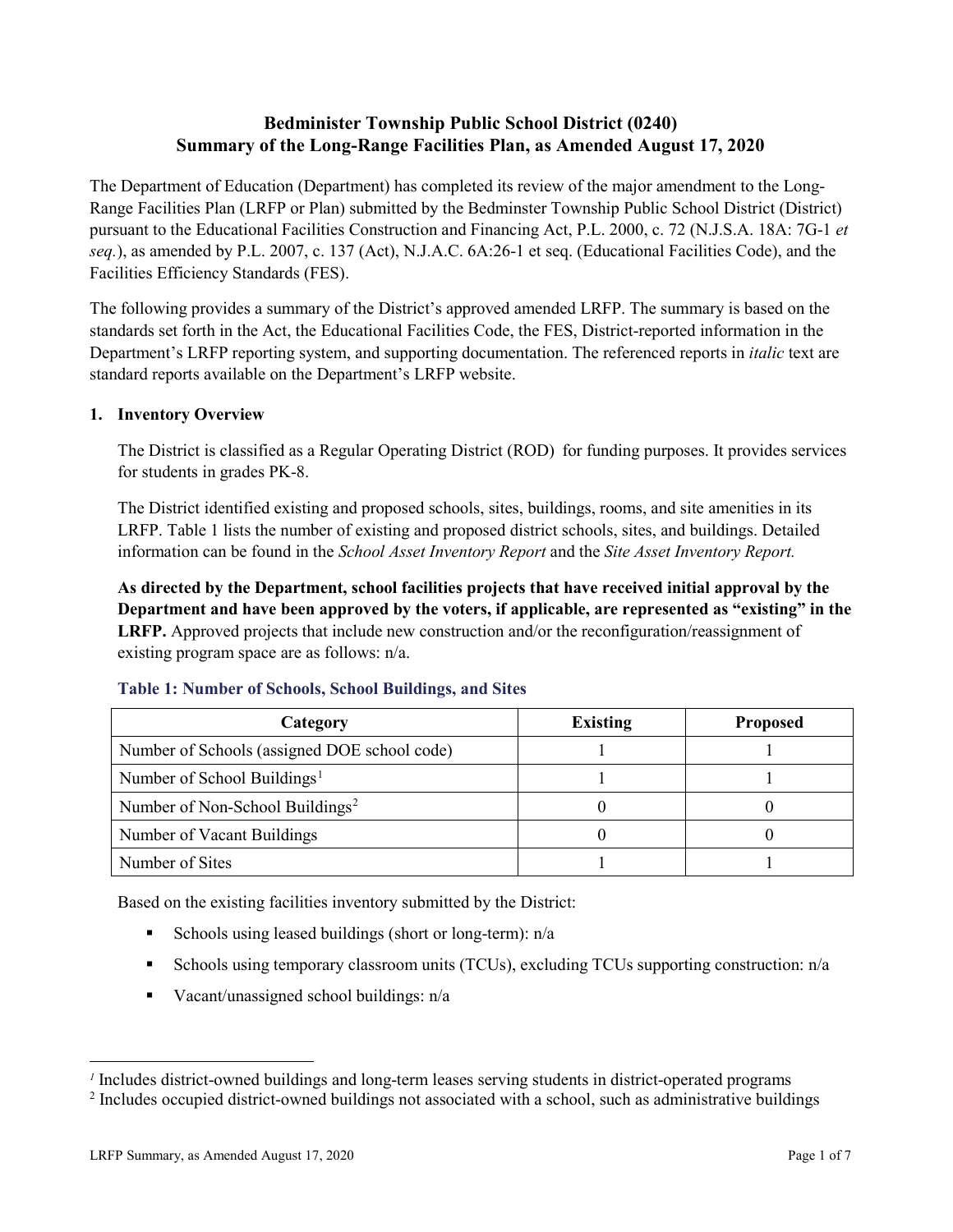# **Bedminister Township Public School District (0240) Summary of the Long-Range Facilities Plan, as Amended August 17, 2020**

The Department of Education (Department) has completed its review of the major amendment to the Long-Range Facilities Plan (LRFP or Plan) submitted by the Bedminster Township Public School District (District) pursuant to the Educational Facilities Construction and Financing Act, P.L. 2000, c. 72 (N.J.S.A. 18A: 7G-1 *et seq.*), as amended by P.L. 2007, c. 137 (Act), N.J.A.C. 6A:26-1 et seq. (Educational Facilities Code), and the Facilities Efficiency Standards (FES).

The following provides a summary of the District's approved amended LRFP. The summary is based on the standards set forth in the Act, the Educational Facilities Code, the FES, District-reported information in the Department's LRFP reporting system, and supporting documentation. The referenced reports in *italic* text are standard reports available on the Department's LRFP website.

# **1. Inventory Overview**

The District is classified as a Regular Operating District (ROD) for funding purposes. It provides services for students in grades PK-8.

The District identified existing and proposed schools, sites, buildings, rooms, and site amenities in its LRFP. Table 1 lists the number of existing and proposed district schools, sites, and buildings. Detailed information can be found in the *School Asset Inventory Report* and the *Site Asset Inventory Report.*

**As directed by the Department, school facilities projects that have received initial approval by the Department and have been approved by the voters, if applicable, are represented as "existing" in the LRFP.** Approved projects that include new construction and/or the reconfiguration/reassignment of existing program space are as follows: n/a.

| Category                                     | <b>Existing</b> | <b>Proposed</b> |
|----------------------------------------------|-----------------|-----------------|
| Number of Schools (assigned DOE school code) |                 |                 |
| Number of School Buildings <sup>1</sup>      |                 |                 |
| Number of Non-School Buildings <sup>2</sup>  |                 |                 |
| Number of Vacant Buildings                   |                 |                 |
| Number of Sites                              |                 |                 |

# **Table 1: Number of Schools, School Buildings, and Sites**

Based on the existing facilities inventory submitted by the District:

- Schools using leased buildings (short or long-term):  $n/a$
- Schools using temporary classroom units (TCUs), excluding TCUs supporting construction: n/a
- Vacant/unassigned school buildings:  $n/a$

 $\overline{a}$ 

<span id="page-1-1"></span><span id="page-1-0"></span>*<sup>1</sup>* Includes district-owned buildings and long-term leases serving students in district-operated programs

<sup>&</sup>lt;sup>2</sup> Includes occupied district-owned buildings not associated with a school, such as administrative buildings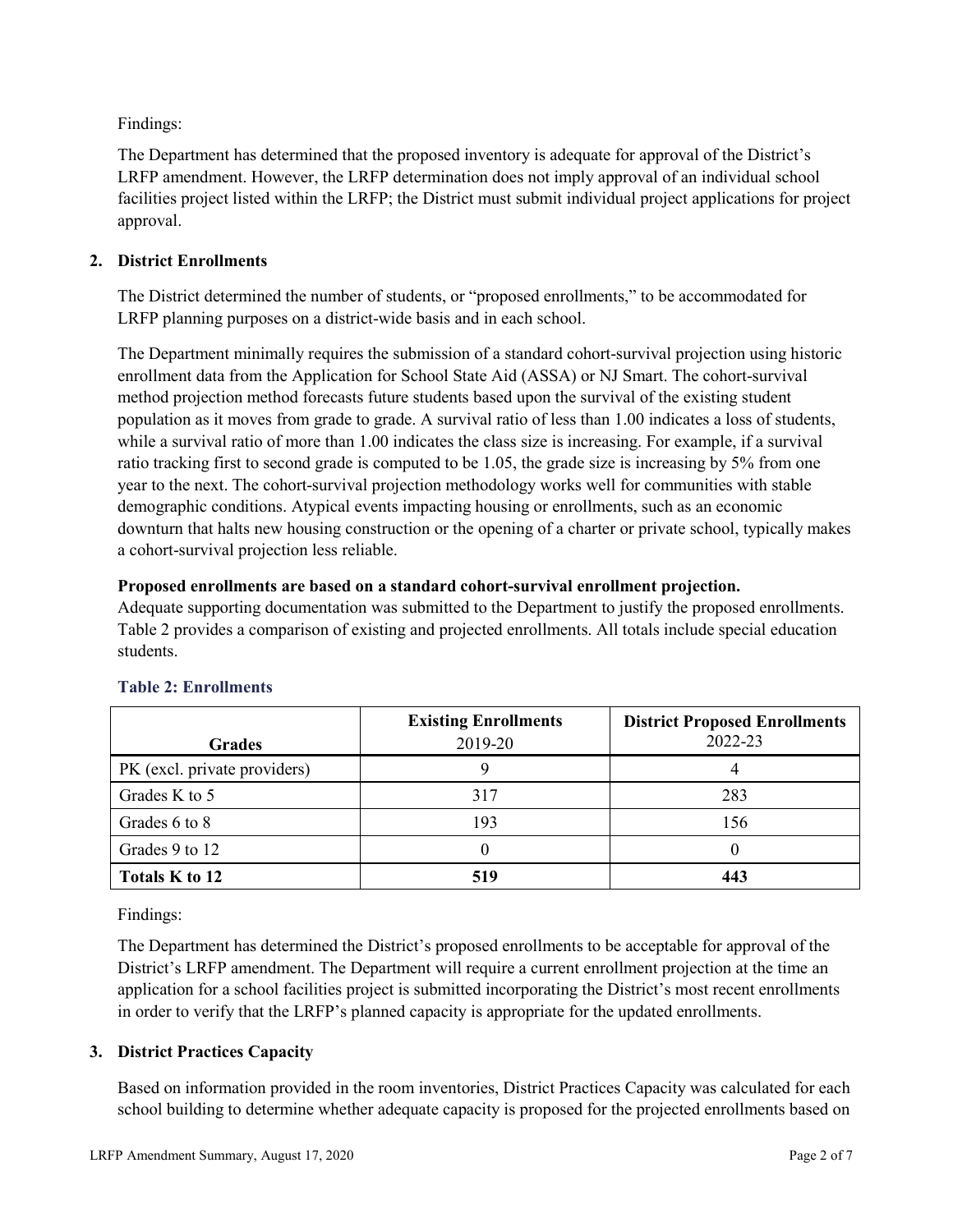Findings:

The Department has determined that the proposed inventory is adequate for approval of the District's LRFP amendment. However, the LRFP determination does not imply approval of an individual school facilities project listed within the LRFP; the District must submit individual project applications for project approval.

# **2. District Enrollments**

The District determined the number of students, or "proposed enrollments," to be accommodated for LRFP planning purposes on a district-wide basis and in each school.

The Department minimally requires the submission of a standard cohort-survival projection using historic enrollment data from the Application for School State Aid (ASSA) or NJ Smart. The cohort-survival method projection method forecasts future students based upon the survival of the existing student population as it moves from grade to grade. A survival ratio of less than 1.00 indicates a loss of students, while a survival ratio of more than 1.00 indicates the class size is increasing. For example, if a survival ratio tracking first to second grade is computed to be 1.05, the grade size is increasing by 5% from one year to the next. The cohort-survival projection methodology works well for communities with stable demographic conditions. Atypical events impacting housing or enrollments, such as an economic downturn that halts new housing construction or the opening of a charter or private school, typically makes a cohort-survival projection less reliable.

### **Proposed enrollments are based on a standard cohort-survival enrollment projection.**

Adequate supporting documentation was submitted to the Department to justify the proposed enrollments. Table 2 provides a comparison of existing and projected enrollments. All totals include special education students.

|                              | <b>Existing Enrollments</b> | <b>District Proposed Enrollments</b> |
|------------------------------|-----------------------------|--------------------------------------|
| <b>Grades</b>                | 2019-20                     | 2022-23                              |
| PK (excl. private providers) |                             |                                      |
| Grades K to 5                | 317                         | 283                                  |
| Grades 6 to 8                | 193                         | 156                                  |
| Grades 9 to 12               |                             |                                      |
| Totals K to 12               | 519                         | 443                                  |

# **Table 2: Enrollments**

Findings:

The Department has determined the District's proposed enrollments to be acceptable for approval of the District's LRFP amendment. The Department will require a current enrollment projection at the time an application for a school facilities project is submitted incorporating the District's most recent enrollments in order to verify that the LRFP's planned capacity is appropriate for the updated enrollments.

# **3. District Practices Capacity**

Based on information provided in the room inventories, District Practices Capacity was calculated for each school building to determine whether adequate capacity is proposed for the projected enrollments based on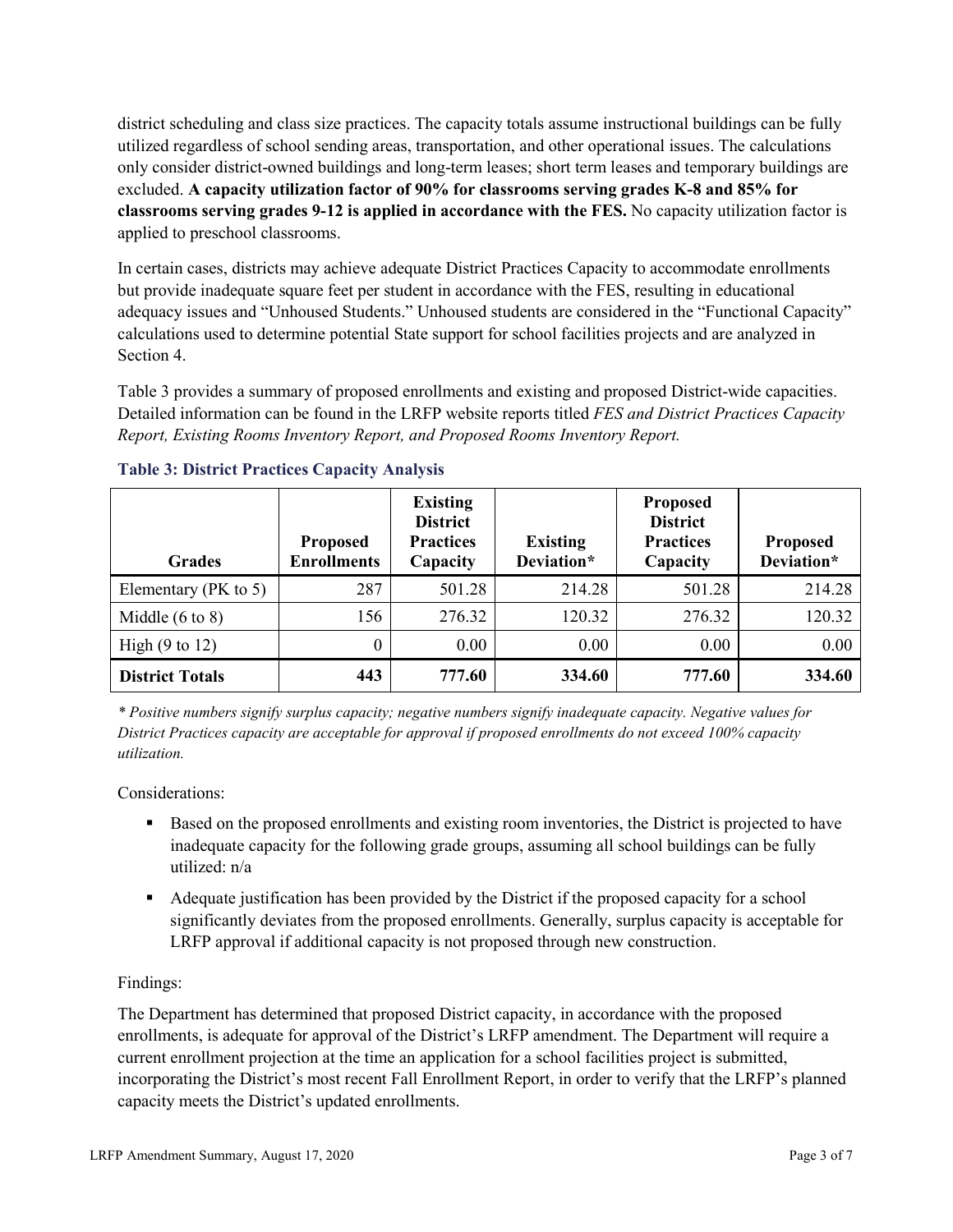district scheduling and class size practices. The capacity totals assume instructional buildings can be fully utilized regardless of school sending areas, transportation, and other operational issues. The calculations only consider district-owned buildings and long-term leases; short term leases and temporary buildings are excluded. **A capacity utilization factor of 90% for classrooms serving grades K-8 and 85% for classrooms serving grades 9-12 is applied in accordance with the FES.** No capacity utilization factor is applied to preschool classrooms.

In certain cases, districts may achieve adequate District Practices Capacity to accommodate enrollments but provide inadequate square feet per student in accordance with the FES, resulting in educational adequacy issues and "Unhoused Students." Unhoused students are considered in the "Functional Capacity" calculations used to determine potential State support for school facilities projects and are analyzed in Section 4.

Table 3 provides a summary of proposed enrollments and existing and proposed District-wide capacities. Detailed information can be found in the LRFP website reports titled *FES and District Practices Capacity Report, Existing Rooms Inventory Report, and Proposed Rooms Inventory Report.*

| <b>Grades</b>              | <b>Proposed</b><br><b>Enrollments</b> | <b>Existing</b><br><b>District</b><br><b>Practices</b><br>Capacity | <b>Existing</b><br>Deviation* | <b>Proposed</b><br><b>District</b><br><b>Practices</b><br>Capacity | <b>Proposed</b><br>Deviation* |
|----------------------------|---------------------------------------|--------------------------------------------------------------------|-------------------------------|--------------------------------------------------------------------|-------------------------------|
| Elementary ( $PK$ to 5)    | 287                                   | 501.28                                                             | 214.28                        | 501.28                                                             | 214.28                        |
| Middle $(6 \text{ to } 8)$ | 156                                   | 276.32                                                             | 120.32                        | 276.32                                                             | 120.32                        |
| High $(9 \text{ to } 12)$  | 0                                     | 0.00                                                               | 0.00                          | 0.00                                                               | 0.00                          |
| <b>District Totals</b>     | 443                                   | 777.60                                                             | 334.60                        | 777.60                                                             | 334.60                        |

# **Table 3: District Practices Capacity Analysis**

*\* Positive numbers signify surplus capacity; negative numbers signify inadequate capacity. Negative values for District Practices capacity are acceptable for approval if proposed enrollments do not exceed 100% capacity utilization.*

Considerations:

- Based on the proposed enrollments and existing room inventories, the District is projected to have inadequate capacity for the following grade groups, assuming all school buildings can be fully utilized: n/a
- Adequate justification has been provided by the District if the proposed capacity for a school significantly deviates from the proposed enrollments. Generally, surplus capacity is acceptable for LRFP approval if additional capacity is not proposed through new construction.

# Findings:

The Department has determined that proposed District capacity, in accordance with the proposed enrollments, is adequate for approval of the District's LRFP amendment. The Department will require a current enrollment projection at the time an application for a school facilities project is submitted, incorporating the District's most recent Fall Enrollment Report, in order to verify that the LRFP's planned capacity meets the District's updated enrollments.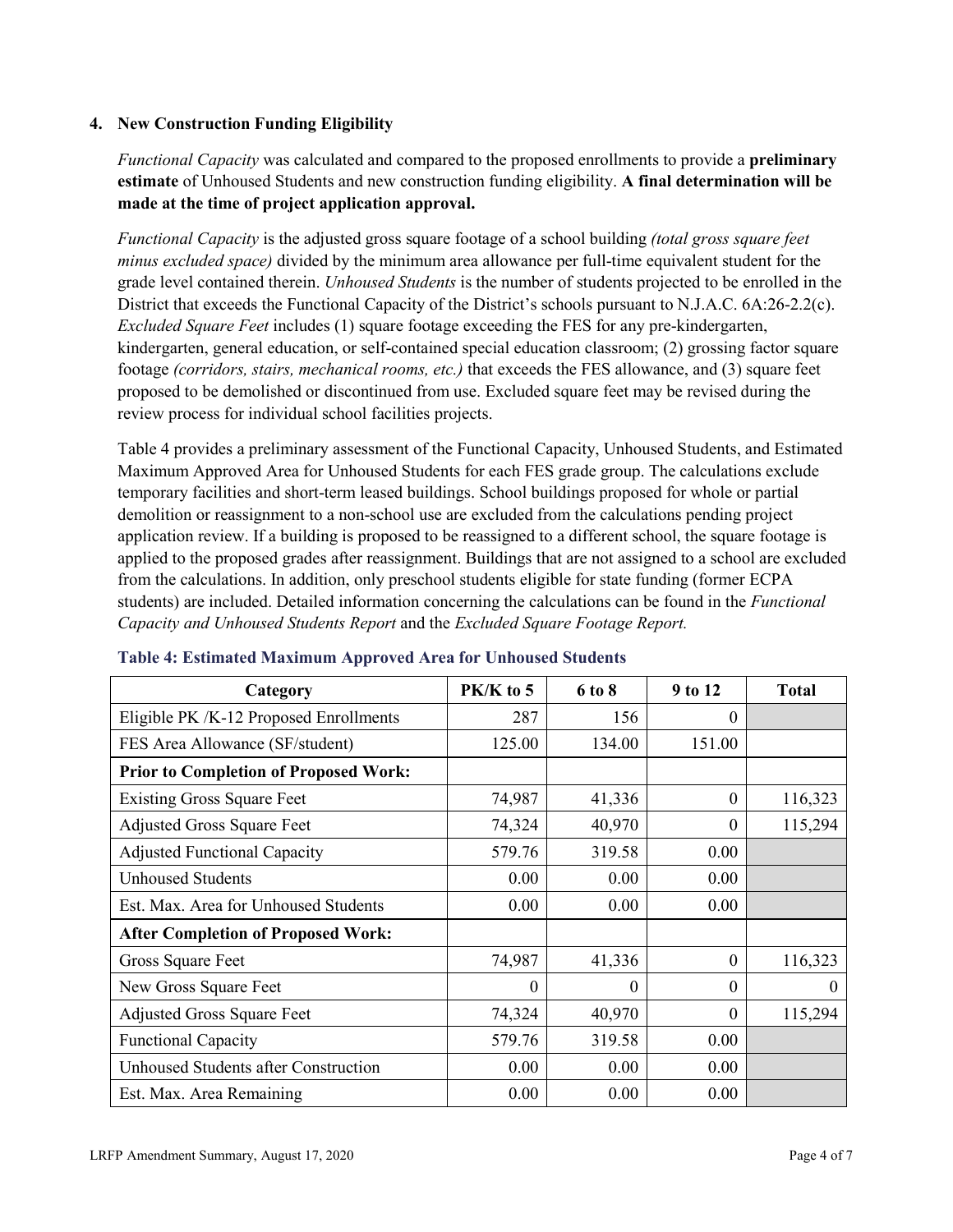### **4. New Construction Funding Eligibility**

*Functional Capacity* was calculated and compared to the proposed enrollments to provide a **preliminary estimate** of Unhoused Students and new construction funding eligibility. **A final determination will be made at the time of project application approval.**

*Functional Capacity* is the adjusted gross square footage of a school building *(total gross square feet minus excluded space)* divided by the minimum area allowance per full-time equivalent student for the grade level contained therein. *Unhoused Students* is the number of students projected to be enrolled in the District that exceeds the Functional Capacity of the District's schools pursuant to N.J.A.C. 6A:26-2.2(c). *Excluded Square Feet* includes (1) square footage exceeding the FES for any pre-kindergarten, kindergarten, general education, or self-contained special education classroom; (2) grossing factor square footage *(corridors, stairs, mechanical rooms, etc.)* that exceeds the FES allowance, and (3) square feet proposed to be demolished or discontinued from use. Excluded square feet may be revised during the review process for individual school facilities projects.

Table 4 provides a preliminary assessment of the Functional Capacity, Unhoused Students, and Estimated Maximum Approved Area for Unhoused Students for each FES grade group. The calculations exclude temporary facilities and short-term leased buildings. School buildings proposed for whole or partial demolition or reassignment to a non-school use are excluded from the calculations pending project application review. If a building is proposed to be reassigned to a different school, the square footage is applied to the proposed grades after reassignment. Buildings that are not assigned to a school are excluded from the calculations. In addition, only preschool students eligible for state funding (former ECPA students) are included. Detailed information concerning the calculations can be found in the *Functional Capacity and Unhoused Students Report* and the *Excluded Square Footage Report.*

| Category                                     | PK/K to 5 | 6 to 8 | 9 to 12      | <b>Total</b> |
|----------------------------------------------|-----------|--------|--------------|--------------|
| Eligible PK /K-12 Proposed Enrollments       | 287       | 156    | 0            |              |
| FES Area Allowance (SF/student)              | 125.00    | 134.00 | 151.00       |              |
| <b>Prior to Completion of Proposed Work:</b> |           |        |              |              |
| <b>Existing Gross Square Feet</b>            | 74,987    | 41,336 | $\theta$     | 116,323      |
| <b>Adjusted Gross Square Feet</b>            | 74,324    | 40,970 | $\theta$     | 115,294      |
| <b>Adjusted Functional Capacity</b>          | 579.76    | 319.58 | 0.00         |              |
| <b>Unhoused Students</b>                     | 0.00      | 0.00   | 0.00         |              |
| Est. Max. Area for Unhoused Students         | 0.00      | 0.00   | 0.00         |              |
| <b>After Completion of Proposed Work:</b>    |           |        |              |              |
| Gross Square Feet                            | 74,987    | 41,336 | $\theta$     | 116,323      |
| New Gross Square Feet                        | $\theta$  | 0      | $\theta$     | $\Omega$     |
| <b>Adjusted Gross Square Feet</b>            | 74,324    | 40,970 | $\mathbf{0}$ | 115,294      |
| <b>Functional Capacity</b>                   | 579.76    | 319.58 | 0.00         |              |
| Unhoused Students after Construction         | 0.00      | 0.00   | 0.00         |              |
| Est. Max. Area Remaining                     | 0.00      | 0.00   | 0.00         |              |

#### **Table 4: Estimated Maximum Approved Area for Unhoused Students**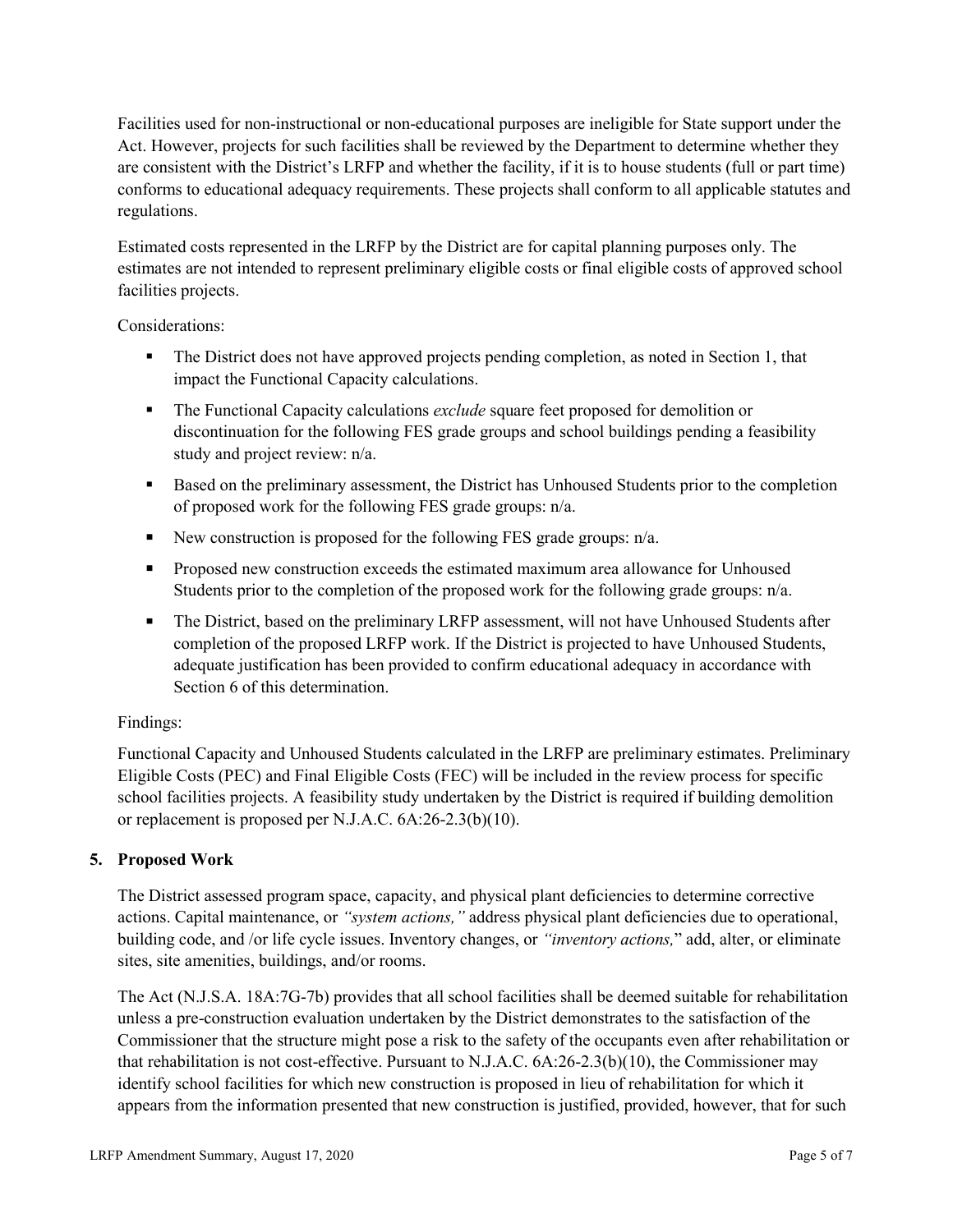Facilities used for non-instructional or non-educational purposes are ineligible for State support under the Act. However, projects for such facilities shall be reviewed by the Department to determine whether they are consistent with the District's LRFP and whether the facility, if it is to house students (full or part time) conforms to educational adequacy requirements. These projects shall conform to all applicable statutes and regulations.

Estimated costs represented in the LRFP by the District are for capital planning purposes only. The estimates are not intended to represent preliminary eligible costs or final eligible costs of approved school facilities projects.

Considerations:

- The District does not have approved projects pending completion, as noted in Section 1, that impact the Functional Capacity calculations.
- **The Functional Capacity calculations** *exclude* square feet proposed for demolition or discontinuation for the following FES grade groups and school buildings pending a feasibility study and project review: n/a.
- **Based on the preliminary assessment, the District has Unhoused Students prior to the completion** of proposed work for the following FES grade groups: n/a.
- New construction is proposed for the following FES grade groups: n/a.
- Proposed new construction exceeds the estimated maximum area allowance for Unhoused Students prior to the completion of the proposed work for the following grade groups: n/a.
- The District, based on the preliminary LRFP assessment, will not have Unhoused Students after completion of the proposed LRFP work. If the District is projected to have Unhoused Students, adequate justification has been provided to confirm educational adequacy in accordance with Section 6 of this determination.

# Findings:

Functional Capacity and Unhoused Students calculated in the LRFP are preliminary estimates. Preliminary Eligible Costs (PEC) and Final Eligible Costs (FEC) will be included in the review process for specific school facilities projects. A feasibility study undertaken by the District is required if building demolition or replacement is proposed per N.J.A.C. 6A:26-2.3(b)(10).

# **5. Proposed Work**

The District assessed program space, capacity, and physical plant deficiencies to determine corrective actions. Capital maintenance, or *"system actions,"* address physical plant deficiencies due to operational, building code, and /or life cycle issues. Inventory changes, or *"inventory actions,*" add, alter, or eliminate sites, site amenities, buildings, and/or rooms.

The Act (N.J.S.A. 18A:7G-7b) provides that all school facilities shall be deemed suitable for rehabilitation unless a pre-construction evaluation undertaken by the District demonstrates to the satisfaction of the Commissioner that the structure might pose a risk to the safety of the occupants even after rehabilitation or that rehabilitation is not cost-effective. Pursuant to N.J.A.C. 6A:26-2.3(b)(10), the Commissioner may identify school facilities for which new construction is proposed in lieu of rehabilitation for which it appears from the information presented that new construction is justified, provided, however, that for such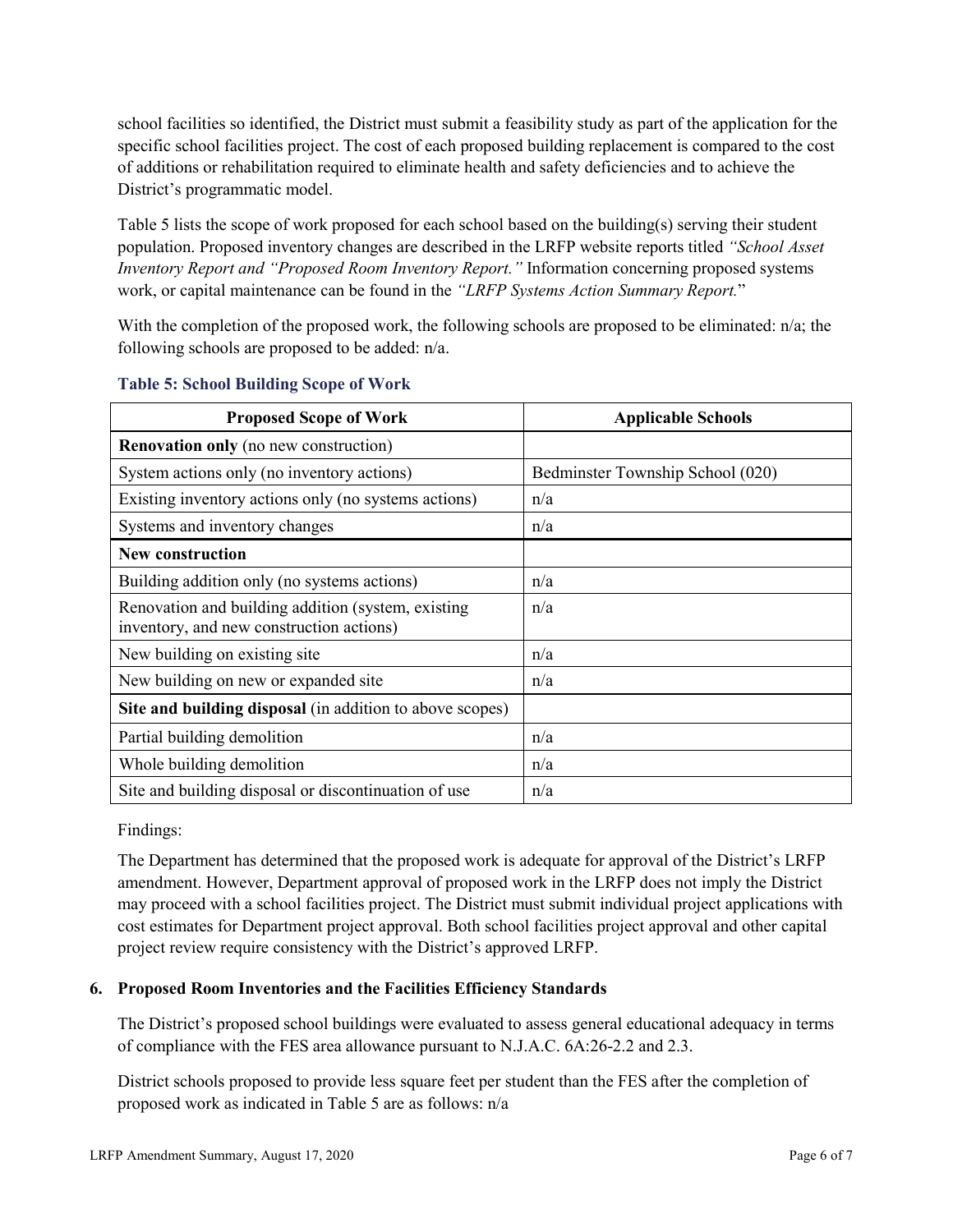school facilities so identified, the District must submit a feasibility study as part of the application for the specific school facilities project. The cost of each proposed building replacement is compared to the cost of additions or rehabilitation required to eliminate health and safety deficiencies and to achieve the District's programmatic model.

Table 5 lists the scope of work proposed for each school based on the building(s) serving their student population. Proposed inventory changes are described in the LRFP website reports titled *"School Asset Inventory Report and "Proposed Room Inventory Report."* Information concerning proposed systems work, or capital maintenance can be found in the *"LRFP Systems Action Summary Report.*"

With the completion of the proposed work, the following schools are proposed to be eliminated: n/a; the following schools are proposed to be added: n/a.

| <b>Proposed Scope of Work</b>                                                                  | <b>Applicable Schools</b>        |
|------------------------------------------------------------------------------------------------|----------------------------------|
| <b>Renovation only</b> (no new construction)                                                   |                                  |
| System actions only (no inventory actions)                                                     | Bedminster Township School (020) |
| Existing inventory actions only (no systems actions)                                           | n/a                              |
| Systems and inventory changes                                                                  | n/a                              |
| <b>New construction</b>                                                                        |                                  |
| Building addition only (no systems actions)                                                    | n/a                              |
| Renovation and building addition (system, existing<br>inventory, and new construction actions) | n/a                              |
| New building on existing site                                                                  | n/a                              |
| New building on new or expanded site                                                           | n/a                              |
| Site and building disposal (in addition to above scopes)                                       |                                  |
| Partial building demolition                                                                    | n/a                              |
| Whole building demolition                                                                      | n/a                              |
| Site and building disposal or discontinuation of use                                           | n/a                              |

### **Table 5: School Building Scope of Work**

Findings:

The Department has determined that the proposed work is adequate for approval of the District's LRFP amendment. However, Department approval of proposed work in the LRFP does not imply the District may proceed with a school facilities project. The District must submit individual project applications with cost estimates for Department project approval. Both school facilities project approval and other capital project review require consistency with the District's approved LRFP.

# **6. Proposed Room Inventories and the Facilities Efficiency Standards**

The District's proposed school buildings were evaluated to assess general educational adequacy in terms of compliance with the FES area allowance pursuant to N.J.A.C. 6A:26-2.2 and 2.3.

District schools proposed to provide less square feet per student than the FES after the completion of proposed work as indicated in Table 5 are as follows: n/a